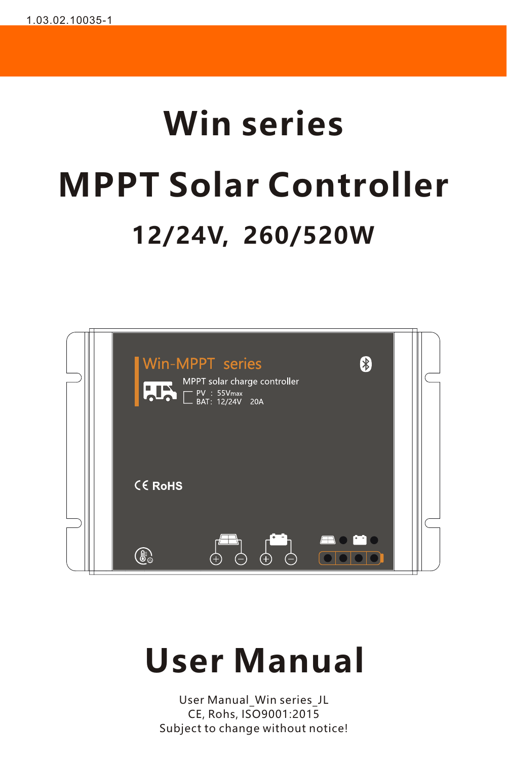# **Win series MPPT Solar Controller 12/24V, 260/520W**



# **User Manual**

User Manual\_Win series\_JL CE, Rohs, ISO9001:2015 Subject to change without notice!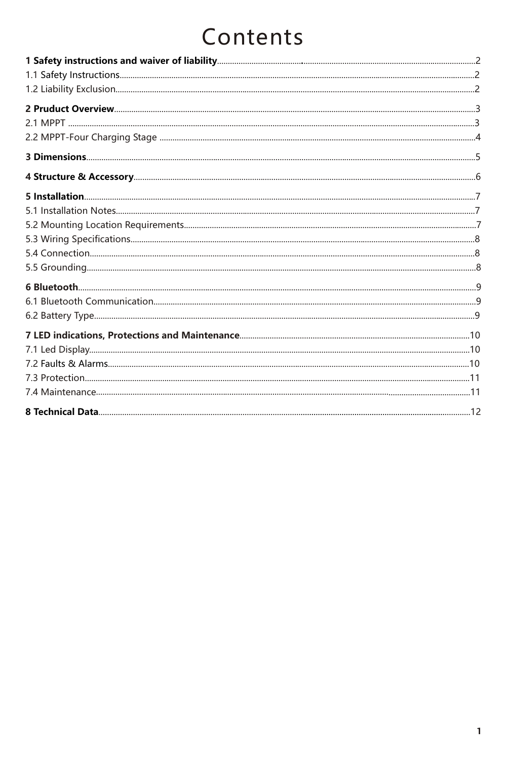# Contents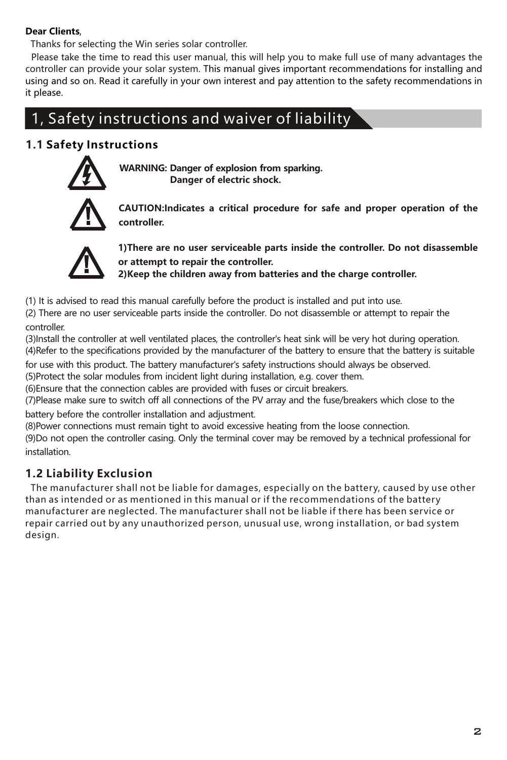#### **Dear Clients**,

Thanks for selecting the Win series solar controller.

controller can provide your solar system. This manual gives important recommendations for installing and using and so on. Read it carefully in your own interest and pay attention to the safety recommendations in it please. Please take the time to read this user manual, this will help you to make full use of many advantages the

# 1, Safety instructions and waiver of liability

## **1.1 Safety Instructions**



**WARNING: Danger of explosion from sparking. Danger of electric shock.**



**CAUTION:Indicates a critical procedure for safe and proper operation of the controller.**



**1)There are no user serviceable parts inside the controller. Do not disassemble or attempt to repair the controller.**

**2)Keep the children away from batteries and the charge controller.**

(1) It is advised to read this manual carefully before the product is installed and put into use.

(2) There are no user serviceable parts inside the controller. Do not disassemble or attempt to repair the controller.

(3)Install the controller at well ventilated places, the controller's heat sink will be very hot during operation. (4)Refer to the specifications provided by the manufacturer of the battery to ensure that the battery is suitable

for use with this product. The battery manufacturer's safety instructions should always be observed. (5)Protect the solar modules from incident light during installation, e.g. cover them.

(6)Ensure that the connection cables are provided with fuses or circuit breakers.

(7)Please make sure to switch off all connections of the PV array and the fuse/breakers which close to the battery before the controller installation and adjustment.

(8)Power connections must remain tight to avoid excessive heating from the loose connection.

(9)Do not open the controller casing. Only the terminal cover may be removed by a technical professional for installation.

## **1.2 Liability Exclusion**

 The manufacturer shall not be liable for damages, especially on the battery, caused by use other than as intended or as mentioned in this manual or if the recommendations of the battery manufacturer are neglected. The manufacturer shall not be liable if there has been service or repair carried out by any unauthorized person, unusual use, wrong installation, or bad system design.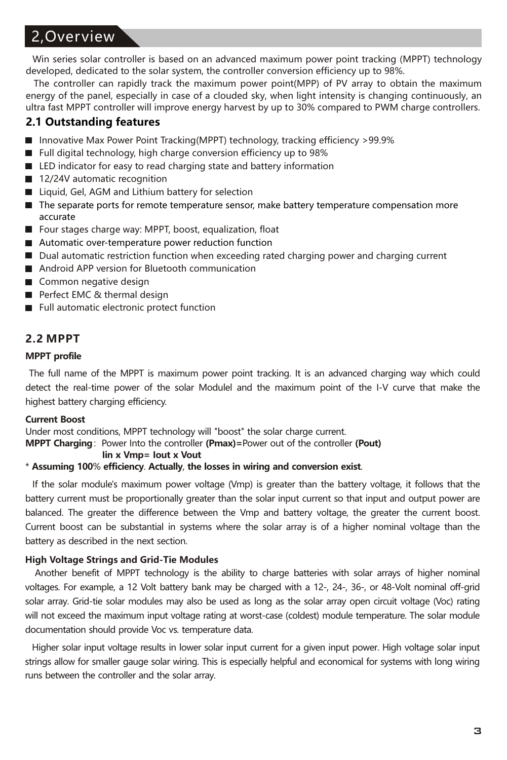# 2,Overview

Win series solar controller is based on an advanced maximum power point tracking (MPPT) technology developed, dedicated to the solar system, the controller conversion efficiency up to 98%.

The controller can rapidly track the maximum power point(MPP) of PV array to obtain the maximum energy of the panel, especially in case of a clouded sky, when light intensity is changing continuously, an ultra fast MPPT controller will improve energy harvest by up to 30% compared to PWM charge controllers.

#### **2.1 Outstanding features**

- Innovative Max Power Point Tracking(MPPT) technology, tracking efficiency >99.9%
- Full digital technology, high charge conversion efficiency up to 98%
- LED indicator for easy to read charging state and battery information
- 12/24V automatic recognition
- Liquid, Gel, AGM and Lithium battery for selection
- The separate ports for remote temperature sensor, make battery temperature compensation more accurate
- Four stages charge way: MPPT, boost, equalization, float
- Automatic over-temperature power reduction function
- Dual automatic restriction function when exceeding rated charging power and charging current
- Android APP version for Bluetooth communication
- Common negative design
- Perfect EMC & thermal design
- Full automatic electronic protect function

#### **2.2 MPPT**

#### **MPPT profile**

The full name of the MPPT is maximum power point tracking. It is an advanced charging way which could detect the real-time power of the solar Modulel and the maximum point of the I-V curve that make the highest battery charging efficiency.

#### **Current Boost**

Under most conditions, MPPT technology will "boost" the solar charge current.

**MPPT Charging**: Power Into the controller **(Pmax)**=Power out of the controller **(Pout)**<br>**by Monther least x Monther (Pout)** 

#### **Iin x Vmp= Iout x Vout**

\* **Assuming 100**% **efficiency**. **Actually**, **the losses in wiring and conversion exist**.

If the solar module's maximum power voltage (Vmp) is greater than the battery voltage, it follows that the battery current must be proportionally greater than the solar input current so that input and output power are balanced. The greater the difference between the Vmp and battery voltage, the greater the current boost. Current boost can be substantial in systems where the solar array is of a higher nominal voltage than the battery as described in the next section.

#### **High Voltage Strings and Grid-Tie Modules**

Another benefit of MPPT technology is the ability to charge batteries with solar arrays of higher nominal voltages. For example, a 12 Volt battery bank may be charged with a 12-, 24-, 36-, or 48-Volt nominal off-grid solar array. Grid-tie solar modules may also be used as long as the solar array open circuit voltage (Voc) rating will not exceed the maximum input voltage rating at worst-case (coldest) module temperature. The solar module documentation should provide Voc vs. temperature data.

Higher solar input voltage results in lower solar input current for a given input power. High voltage solar input strings allow for smaller gauge solar wiring. This is especially helpful and economical for systems with long wiring runs between the controller and the solar array.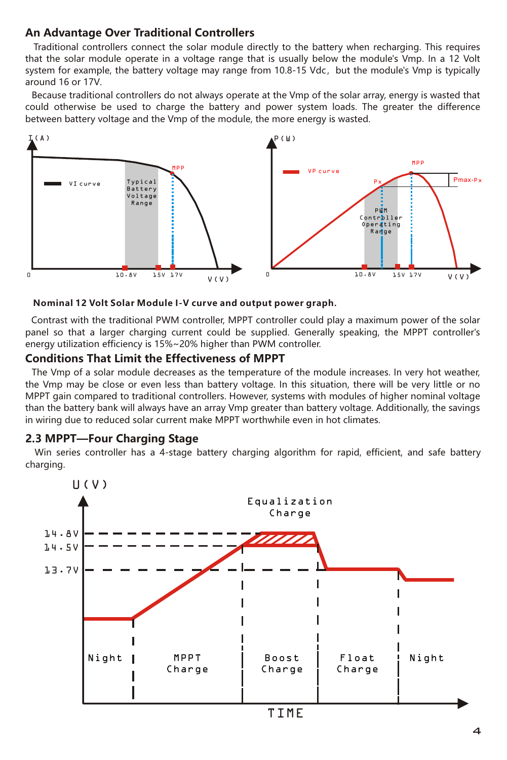#### **An Advantage Over Traditional Controllers**

Traditional controllers connect the solar module directly to the battery when recharging. This requires that the solar module operate in a voltage range that is usually below the module's Vmp. In a 12 Volt system for example, the battery voltage may range from  $10.8-15$  Vdc, but the module's Vmp is typically around 16 or 17V.

 Because traditional controllers do not always operate at the Vmp of the solar array, energy is wasted that could otherwise be used to charge the battery and power system loads. The greater the difference between battery voltage and the Vmp of the module, the more energy is wasted.



#### **Nominal 12 Volt Solar Module I-V curve and output power graph.**

Contrast with the traditional PWM controller, MPPT controller could play a maximum power of the solar panel so that a larger charging current could be supplied. Generally speaking, the MPPT controller's energy utilization efficiency is  $15\%{\sim}20\%$  higher than PWM controller.

#### **Conditions That Limit the Effectiveness of MPPT**

The Vmp of a solar module decreases as the temperature of the module increases. In very hot weather, the Vmp may be close or even less than battery voltage. In this situation, there will be very little or no MPPT gain compared to traditional controllers. However, systems with modules of higher nominal voltage than the battery bank will always have an array Vmp greater than battery voltage. Additionally, the savings in wiring due to reduced solar current make MPPT worthwhile even in hot climates.

#### **2.3 MPPT—Four Charging Stage**

Win series controller has a 4-stage battery charging algorithm for rapid, efficient, and safe battery charging.

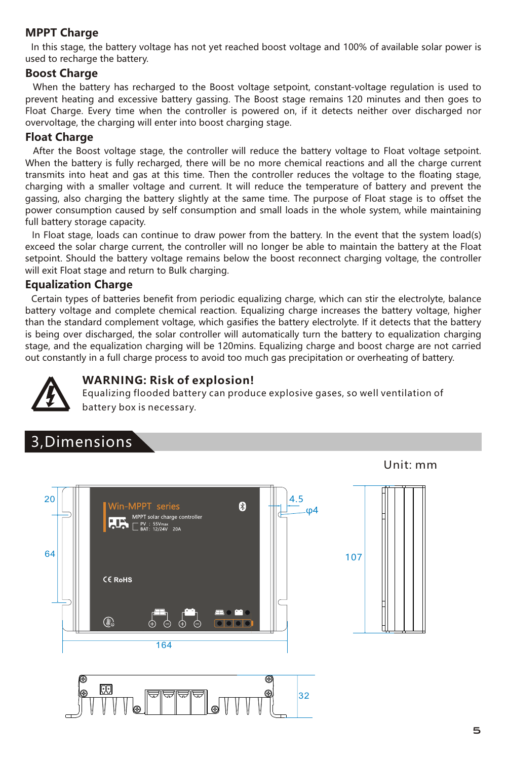## **MPPT Charge**

In this stage, the battery voltage has not yet reached boost voltage and 100% of available solar power is used to recharge the battery.

#### **Boost Charge**

When the battery has recharged to the Boost voltage setpoint, constant-voltage regulation is used to prevent heating and excessive battery gassing. The Boost stage remains 120 minutes and then goes to Float Charge. Every time when the controller is powered on, if it detects neither over discharged nor overvoltage, the charging will enter into boost charging stage.

#### **Float Charge**

After the Boost voltage stage, the controller will reduce the battery voltage to Float voltage setpoint. When the battery is fully recharged, there will be no more chemical reactions and all the charge current transmits into heat and gas at this time. Then the controller reduces the voltage to the floating stage, charging with a smaller voltage and current. It will reduce the temperature of battery and prevent the gassing, also charging the battery slightly at the same time. The purpose of Float stage is to offset the power consumption caused by self consumption and small loads in the whole system, while maintaining full battery storage capacity.

In Float stage, loads can continue to draw power from the battery. In the event that the system load(s) exceed the solar charge current, the controller will no longer be able to maintain the battery at the Float setpoint. Should the battery voltage remains below the boost reconnect charging voltage, the controller will exit Float stage and return to Bulk charging.

#### **Equalization Charge**

Certain types of batteries benefit from periodic equalizing charge, which can stir the electrolyte, balance battery voltage and complete chemical reaction. Equalizing charge increases the battery voltage, higher than the standard complement voltage, which gasifies the battery electrolyte. If it detects that the battery is being over discharged, the solar controller will automatically turn the battery to equalization charging stage, and the equalization charging will be 120mins. Equalizing charge and boost charge are not carried out constantly in a full charge process to avoid too much gas precipitation or overheating of battery.



#### **WARNING: Risk of explosion!**

Equalizing flooded battery can produce explosive gases, so well ventilation of battery box is necessary.

# 3,Dimensions





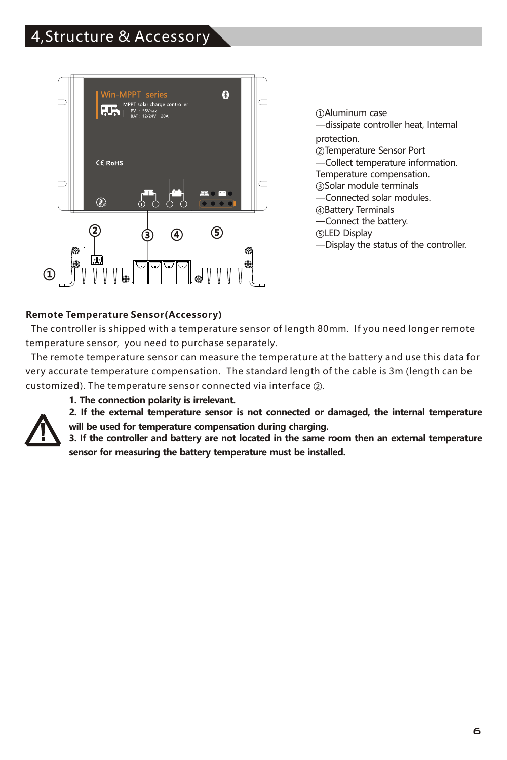# 4,Structure & Accessory



①Aluminum case —dissipate controller heat, Internal protection. ②Temperature Sensor Port —Collect temperature information. Temperature compensation. ③Solar module terminals —Connected solar modules. ④Battery Terminals —Connect the battery. ⑤LED Display —Display the status of the controller.

#### **Remote Temperature Sensor(Accessory)**

 The controller is shipped with a temperature sensor of length 80mm. If you need longer remote temperature sensor, you need to purchase separately.

 The remote temperature sensor can measure the temperature at the battery and use this data for very accurate temperature compensation. The standard length of the cable is 3m (length can be customized). The temperature sensor connected via interface ②.

**1. The connection polarity is irrelevant.**



**2. If the external temperature sensor is not connected or damaged, the internal temperature** 

**will be used for temperature compensation during charging.** 

**3. If the controller and battery are not located in the same room then an external temperature sensor for measuring the battery temperature must be installed.**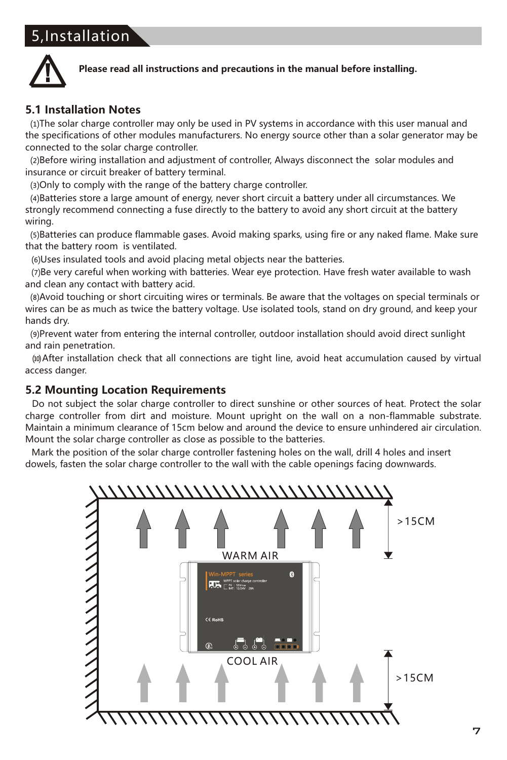# 5,Installation



#### **Please read all instructions and precautions in the manual before installing.**

#### **5.1 Installation Notes**

 ⑴The solar charge controller may only be used in PV systems in accordance with this user manual and the specifications of other modules manufacturers. No energy source other than a solar generator may be connected to the solar charge controller.

 ⑵Before wiring installation and adjustment of controller, Always disconnect the solar modules and insurance or circuit breaker of battery terminal.

⑶Only to comply with the range of the battery charge controller.

 ⑷Batteries store a large amount of energy, never short circuit a battery under all circumstances. We strongly recommend connecting a fuse directly to the battery to avoid any short circuit at the battery wiring.

(5)Batteries can produce flammable gases. Avoid making sparks, using fire or any naked flame. Make sure that the battery room is ventilated.

⑹Uses insulated tools and avoid placing metal objects near the batteries.

 ⑺Be very careful when working with batteries. Wear eye protection. Have fresh water available to wash and clean any contact with battery acid.

(8) Avoid touching or short circuiting wires or terminals. Be aware that the voltages on special terminals or wires can be as much as twice the battery voltage. Use isolated tools, stand on dry ground, and keep your hands dry.

(9) Prevent water from entering the internal controller, outdoor installation should avoid direct sunlight and rain penetration.

⑽After installation check that all connections are tight line, avoid heat accumulation caused by virtual access danger.

#### **5.2 Mounting Location Requirements**

Do not subject the solar charge controller to direct sunshine or other sources of heat. Protect the solar charge controller from dirt and moisture. Mount upright on the wall on a non-flammable substrate. Maintain a minimum clearance of 15cm below and around the device to ensure unhindered air circulation. Mount the solar charge controller as close as possible to the batteries.

 Mark the position of the solar charge controller fastening holes on the wall, drill 4 holes and insert dowels, fasten the solar charge controller to the wall with the cable openings facing downwards.

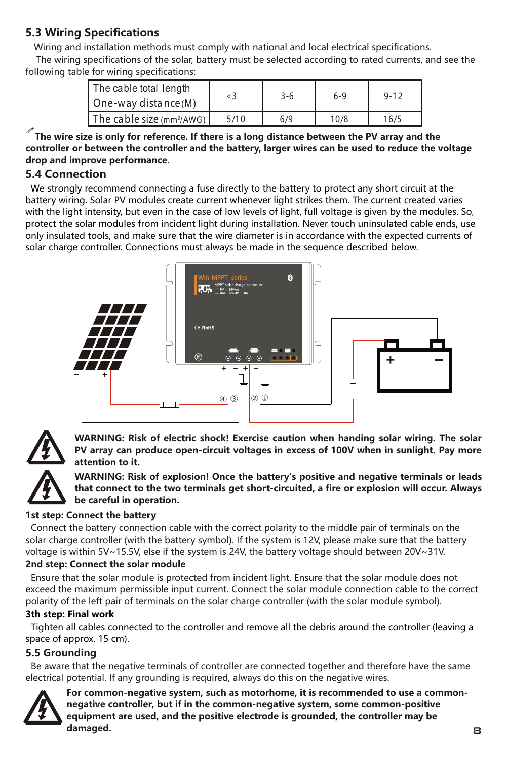# **5.3 Wiring Specifications**

 Wiring and installation methods must comply with national and local electrical specifications. The wiring specifications of the solar, battery must be selected according to rated currents, and see the following table for wiring specifications:

| The cable total length<br>One-way distance (M) | $\leq$ 3 | $3 - 6$ | $6-9$ | $9 - 12$ |
|------------------------------------------------|----------|---------|-------|----------|
| The cable size $(mm^2/AWG)$                    | 5/10     | 6/9     | 10/8  | 16/5     |

!**The wire size is only for reference. If there is a long distance between the PV array and the controller or between the controller and the battery, larger wires can be used to reduce the voltage drop and improve performance.**

## **5.4 Connection**

 We strongly recommend connecting a fuse directly to the battery to protect any short circuit at the battery wiring. Solar PV modules create current whenever light strikes them. The current created varies with the light intensity, but even in the case of low levels of light, full voltage is given by the modules. So, protect the solar modules from incident light during installation. Never touch uninsulated cable ends, use only insulated tools, and make sure that the wire diameter is in accordance with the expected currents of solar charge controller. Connections must always be made in the sequence described below.





**WARNING: Risk of electric shock! Exercise caution when handing solar wiring. The solar PV array can produce open-circuit voltages in excess of 100V when in sunlight. Pay more attention to it.**



**WARNING: Risk of explosion! Once the battery's positive and negative terminals or leads that connect to the two terminals get short-circuited, a fire or explosion will occur. Always be careful in operation.**

#### **1st step: Connect the battery**

 Connect the battery connection cable with the correct polarity to the middle pair of terminals on the solar charge controller (with the battery symbol). If the system is 12V, please make sure that the battery voltage is within 5V~15.5V, else if the system is 24V, the battery voltage should between 20V~31V.

#### **2nd step: Connect the solar module**

 Ensure that the solar module is protected from incident light. Ensure that the solar module does not exceed the maximum permissible input current. Connect the solar module connection cable to the correct polarity of the left pair of terminals on the solar charge controller (with the solar module symbol).

#### **3th step: Final work**

 Tighten all cables connected to the controller and remove all the debris around the controller (leaving a space of approx. 15 cm).

## **5.5 Grounding**

 Be aware that the negative terminals of controller are connected together and therefore have the same electrical potential. If any grounding is required, always do this on the negative wires.



**For common-negative system, such as motorhome, it is recommended to use a commonnegative controller, but if in the common-negative system, some common-positive equipment are used, and the positive electrode is grounded, the controller may be damaged.** 8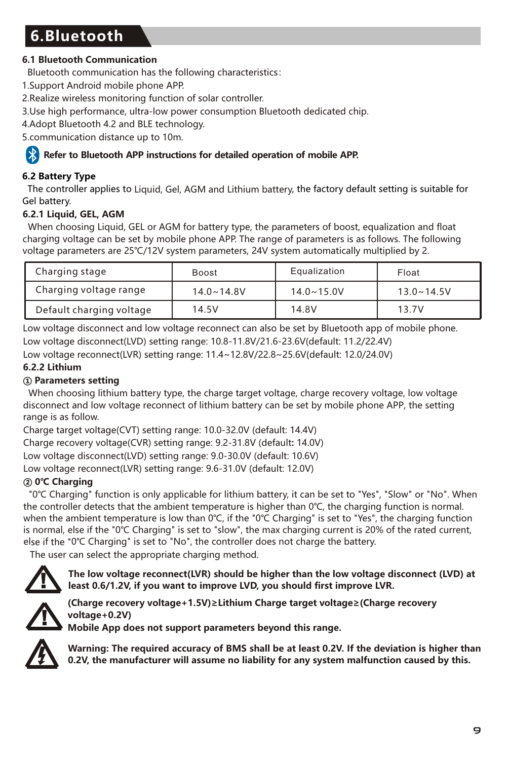# **6.Bluetooth**

## **6.1 Bluetooth Communication**

Bluetooth communication has the following characteristics:

- 1.Support Android mobile phone APP.
- 2.Realize wireless monitoring function of solar controller.
- 3.Use high performance, ultra-low power consumption Bluetooth dedicated chip.
- 4.Adopt Bluetooth 4.2 and BLE technology.

5.communication distance up to 10m.

## **Refer to Bluetooth APP instructions for detailed operation of mobile APP.**

# **6.2 Battery Type**

The controller applies to Liquid, Gel, AGM and Lithium battery, the factory default setting is suitable for Gel battery.

## **6.2.1 Liquid, GEL, AGM**

When choosing Liquid, GEL or AGM for battery type, the parameters of boost, equalization and float charging voltage can be set by mobile phone APP. The range of parameters is as follows. The following voltage parameters are 25℃/12V system parameters, 24V system automatically multiplied by 2.

| Charging stage           | Boost          | Equalization   | Float          |
|--------------------------|----------------|----------------|----------------|
| Charging voltage range   | $14.0 - 14.8V$ | $14.0 - 15.0V$ | $13.0 - 14.5V$ |
| Default charging voltage | 14.5V          | 14.8V          | 13.7V          |

Low voltage disconnect and low voltage reconnect can also be set by Bluetooth app of mobile phone. Low voltage disconnect(LVD) setting range: 10.8-11.8V/21.6-23.6V(default: 11.2/22.4V)

Low voltage reconnect(LVR) setting range: 11.4~12.8V/22.8~25.6V(default: 12.0/24.0V)

## **6.2.2 Lithium**

## **① Parameters setting**

When choosing lithium battery type, the charge target voltage, charge recovery voltage, low voltage disconnect and low voltage reconnect of lithium battery can be set by mobile phone APP, the setting range is as follow.

Charge target voltage(CVT) setting range: 10.0-32.0V (default: 14.4V)

Charge recovery voltage(CVR) setting range: 9.2-31.8V (default**:** 14.0V)

Low voltage disconnect(LVD) setting range: 9.0-30.0V (default: 10.6V)

Low voltage reconnect(LVR) setting range: 9.6-31.0V (default: 12.0V)

# **② 0℃ Charging**

 "0℃ Charging" function is only applicable for lithium battery, it can be set to "Yes", "Slow" or "No". When the controller detects that the ambient temperature is higher than 0℃, the charging function is normal. when the ambient temperature is low than 0℃, if the "0℃ Charging" is set to "Yes", the charging function is normal, else if the "0℃ Charging" is set to "slow", the max charging current is 20% of the rated current, else if the "0℃ Charging" is set to "No", the controller does not charge the battery.

The user can select the appropriate charging method.



**The low voltage reconnect(LVR) should be higher than the low voltage disconnect (LVD) at least 0.6/1.2V, if you want to improve LVD, you should first improve LVR.**



**(Charge recovery voltage+1.5V)≥Lithium ≥( Charge target voltage Charge recovery +0.2V) voltage**

**Mobile App does not support parameters beyond this range.**



**Warning: The required accuracy of BMS shall be at least 0.2V. If the deviation is higher than 0.2V, the manufacturer will assume no liability for any system malfunction caused by this.**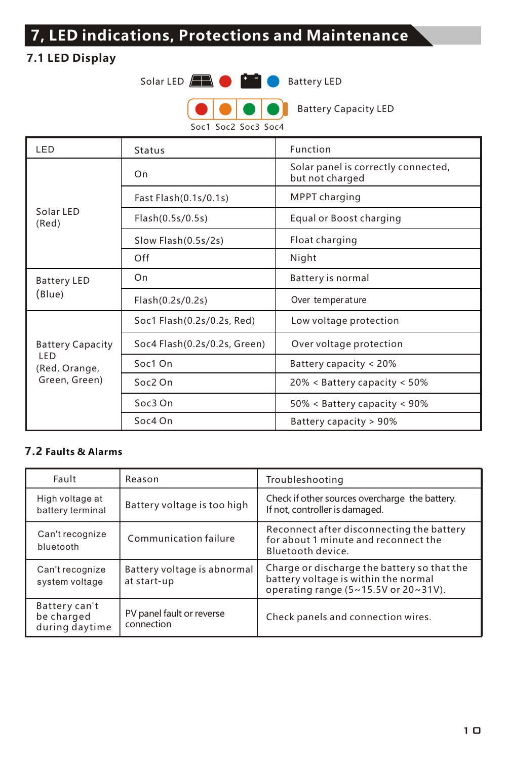# **7, LED indications, Protections and Maintenance**

# **7.1 LED Display**



Soc1 Soc2 Soc3 Soc4

| LED                                                              | Status                       | Function                                               |  |
|------------------------------------------------------------------|------------------------------|--------------------------------------------------------|--|
| Solar IFD<br>(Red)                                               | On                           | Solar panel is correctly connected,<br>but not charged |  |
|                                                                  | Fast Flash(0.1s/0.1s)        | MPPT charging                                          |  |
|                                                                  | Flash(0.5s/0.5s)             | Equal or Boost charging                                |  |
|                                                                  | Slow Flash(0.5s/2s)          | Float charging                                         |  |
|                                                                  | Off                          | Night                                                  |  |
| <b>Battery LED</b><br>(Blue)                                     | On                           | Battery is normal                                      |  |
|                                                                  | Flash(0.2s/0.2s)             | Over temperature                                       |  |
| <b>Battery Capacity</b><br>LED<br>(Red, Orange,<br>Green, Green) | Soc1 Flash(0.2s/0.2s, Red)   | Low voltage protection                                 |  |
|                                                                  | Soc4 Flash(0.2s/0.2s, Green) | Over voltage protection                                |  |
|                                                                  | Soc1 On                      | Battery capacity < 20%                                 |  |
|                                                                  | $Soc2$ On                    | 20% < Battery capacity < 50%                           |  |
|                                                                  | $Soc3$ On                    | $50\% < B$ attery capacity < 90%                       |  |
|                                                                  | Soc4 On                      | Battery capacity > 90%                                 |  |

# **7.2 Faults & Alarms**

| Fault                                         | Reason                                     | Troubleshooting                                                                                                                   |
|-----------------------------------------------|--------------------------------------------|-----------------------------------------------------------------------------------------------------------------------------------|
| High voltage at<br>battery terminal           | Battery voltage is too high                | Check if other sources overcharge the battery.<br>If not, controller is damaged.                                                  |
| Can't recognize<br>bluetooth                  | Communication failure                      | Reconnect after disconnecting the battery<br>for about 1 minute and reconnect the<br>Bluetooth device.                            |
| Can't recognize<br>system voltage             | Battery voltage is abnormal<br>at start-up | Charge or discharge the battery so that the<br>battery voltage is within the normal<br>operating range $(5-15.5V)$ or $20-31V$ ). |
| Battery can't<br>be charged<br>during daytime | PV panel fault or reverse<br>connection    | Check panels and connection wires.                                                                                                |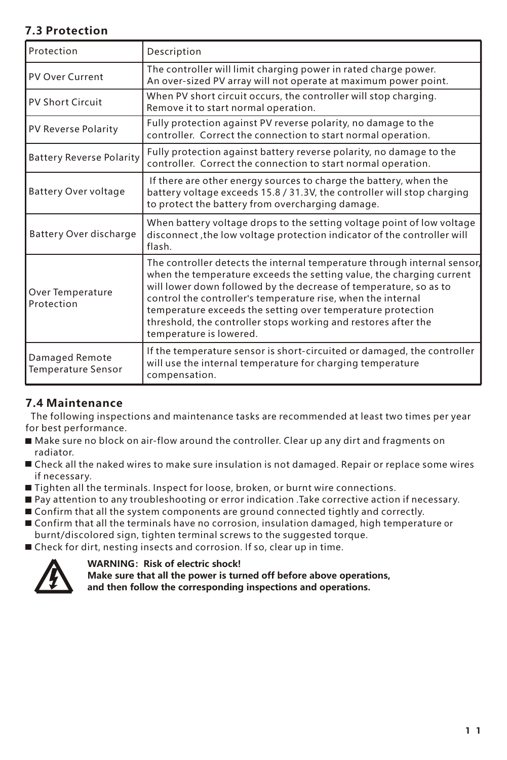# **7.3 Protection**

| Protection                           | Description                                                                                                                                                                                                                                                                                                                                                                                                                                       |
|--------------------------------------|---------------------------------------------------------------------------------------------------------------------------------------------------------------------------------------------------------------------------------------------------------------------------------------------------------------------------------------------------------------------------------------------------------------------------------------------------|
| <b>PV Over Current</b>               | The controller will limit charging power in rated charge power.<br>An over-sized PV array will not operate at maximum power point.                                                                                                                                                                                                                                                                                                                |
| PV Short Circuit                     | When PV short circuit occurs, the controller will stop charging.<br>Remove it to start normal operation.                                                                                                                                                                                                                                                                                                                                          |
| PV Reverse Polarity                  | Fully protection against PV reverse polarity, no damage to the<br>controller. Correct the connection to start normal operation.                                                                                                                                                                                                                                                                                                                   |
| <b>Battery Reverse Polarity</b>      | Fully protection against battery reverse polarity, no damage to the<br>controller. Correct the connection to start normal operation.                                                                                                                                                                                                                                                                                                              |
| Battery Over voltage                 | If there are other energy sources to charge the battery, when the<br>battery voltage exceeds 15.8 / 31.3V, the controller will stop charging<br>to protect the battery from overcharging damage.                                                                                                                                                                                                                                                  |
| Battery Over discharge               | When battery voltage drops to the setting voltage point of low voltage<br>disconnect, the low voltage protection indicator of the controller will<br>flash.                                                                                                                                                                                                                                                                                       |
| Over Temperature<br>Protection       | The controller detects the internal temperature through internal sensor,<br>when the temperature exceeds the setting value, the charging current<br>will lower down followed by the decrease of temperature, so as to<br>control the controller's temperature rise, when the internal<br>temperature exceeds the setting over temperature protection<br>threshold, the controller stops working and restores after the<br>temperature is lowered. |
| Damaged Remote<br>Temperature Sensor | If the temperature sensor is short-circuited or damaged, the controller<br>will use the internal temperature for charging temperature<br>compensation.                                                                                                                                                                                                                                                                                            |

## **7.4 Maintenance**

 The following inspections and maintenance tasks are recommended at least two times per year for best performance.

- Make sure no block on air-flow around the controller. Clear up any dirt and fragments on radiator.
- Check all the naked wires to make sure insulation is not damaged. Repair or replace some wires if necessary.
- Tighten all the terminals. Inspect for loose, broken, or burnt wire connections.
- Pay attention to any troubleshooting or error indication .Take corrective action if necessary.
- $\blacksquare$  Confirm that all the system components are ground connected tightly and correctly.
- Confirm that all the terminals have no corrosion, insulation damaged, high temperature or burnt/discolored sign, tighten terminal screws to the suggested torque.
- Check for dirt, nesting insects and corrosion. If so, clear up in time.



**WARNING: Risk of electric shock!** 

**Make sure that all the power is turned off before above operations,** 

**and then follow the corresponding inspections and operations.**